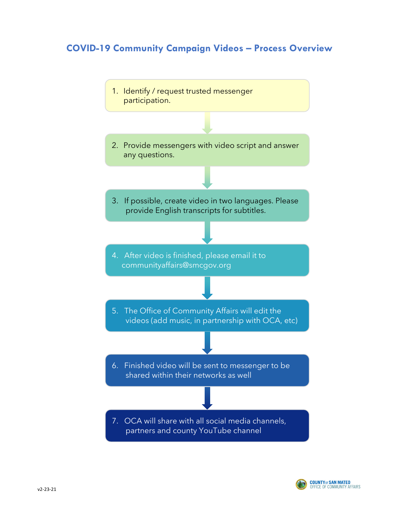# **COVID-19 Community Campaign Videos – Process Overview**



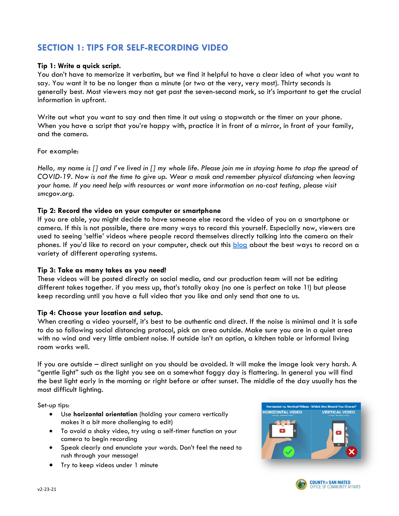# **SECTION 1: TIPS FOR SELF-RECORDING VIDEO**

#### **Tip 1: Write a quick script.**

You don't have to memorize it verbatim, but we find it helpful to have a clear idea of what you want to say. You want it to be no longer than a minute (or two at the very, very most). Thirty seconds is generally best. Most viewers may not get past the seven-second mark, so it's important to get the crucial information in upfront.

Write out what you want to say and then time it out using a stopwatch or the timer on your phone. When you have a script that you're happy with, practice it in front of a mirror, in front of your family, and the camera.

For example:

*Hello, my name is [] and I've lived in [] my whole life. Please join me in staying home to stop the spread of COVID-19. Now is not the time to give up. Wear a mask and remember physical distancing when leaving your home. If you need help with resources or want more information on no-cost testing, please visit smcgov.org.* 

#### **Tip 2: Record the video on your computer or smartphone**

If you are able, you might decide to have someone else record the video of you on a smartphone or camera. If this is not possible, there are many ways to record this yourself. Especially now, viewers are used to seeing 'selfie' videos where people record themselves directly talking into the camera on their phones. If you'd like to record on your computer, check out this [blog](https://www.howtogeek.com/234786/how-to-take-photos-and-record-videos-with-your-computers-webcam/) about the best ways to record on a variety of different operating systems.

## **Tip 3: Take as many takes as you need!**

These videos will be posted directly on social media, and our production team will not be editing different takes together. if you mess up, that's totally okay (no one is perfect on take 1!) but please keep recording until you have a full video that you like and only send that one to us.

#### **Tip 4: Choose your location and setup.**

When creating a video yourself, it's best to be authentic and direct. If the noise is minimal and it is safe to do so following social distancing protocol, pick an area outside. Make sure you are in a quiet area with no wind and very little ambient noise. If outside isn't an option, a kitchen table or informal living room works well.

If you are outside – direct sunlight on you should be avoided. It will make the image look very harsh. A "gentle light" such as the light you see on a somewhat foggy day is flattering. In general you will find the best light early in the morning or right before or after sunset. The middle of the day usually has the most difficult lighting.

Set-up tips:

- Use **horizontal orientation** (holding your camera vertically makes it a bit more challenging to edit)
- To avoid a shaky video, try using a self-timer function on your camera to begin recording
- Speak clearly and enunciate your words. Don't feel the need to rush through your message!
- Try to keep videos under 1 minute



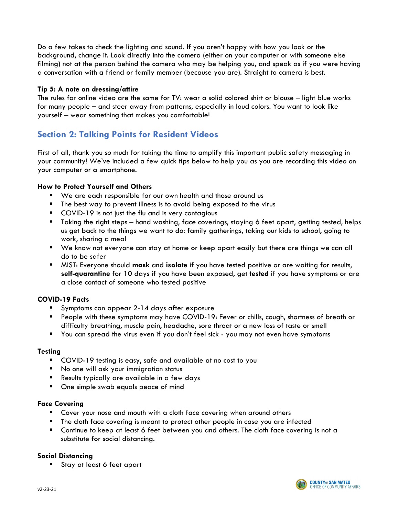Do a few takes to check the lighting and sound. If you aren't happy with how you look or the background, change it. Look directly into the camera (either on your computer or with someone else filming) not at the person behind the camera who may be helping you, and speak as if you were having a conversation with a friend or family member (because you are). Straight to camera is best.

#### **Tip 5: A note on dressing/attire**

The rules for online video are the same for TV: wear a solid colored shirt or blouse – light blue works for many people – and steer away from patterns, especially in loud colors. You want to look like yourself – wear something that makes you comfortable!

## **Section 2: Talking Points for Resident Videos**

First of all, thank you so much for taking the time to amplify this important public safety messaging in your community! We've included a few quick tips below to help you as you are recording this video on your computer or a smartphone.

#### **How to Protect Yourself and Others**

- We are each responsible for our own health and those around us
- The best way to prevent illness is to avoid being exposed to the virus
- **COVID-19** is not just the flu and is very contagious
- Taking the right steps hand washing, face coverings, staying 6 feet apart, getting tested, helps us get back to the things we want to do: family gatherings, taking our kids to school, going to work, sharing a meal
- We know not everyone can stay at home or keep apart easily but there are things we can all do to be safer
- MIST: Everyone should **mask** and **isolate** if you have tested positive or are waiting for results, **self-quarantine** for 10 days if you have been exposed, get **tested** if you have symptoms or are a close contact of someone who tested positive

## **COVID-19 Facts**

- Symptoms can appear 2-14 days after exposure
- People with these symptoms may have COVID-19: Fever or chills, cough, shortness of breath or difficulty breathing, muscle pain, headache, sore throat or a new loss of taste or smell
- You can spread the virus even if you don't feel sick you may not even have symptoms

#### **Testing**

- COVID-19 testing is easy, safe and available at no cost to you
- No one will ask your immigration status
- Results typically are available in a few days
- One simple swab equals peace of mind

#### **Face Covering**

- Cover your nose and mouth with a cloth face covering when around others
- The cloth face covering is meant to protect other people in case you are infected
- Continue to keep at least 6 feet between you and others. The cloth face covering is not a substitute for social distancing.

## **Social Distancing**

Stay at least 6 feet apart